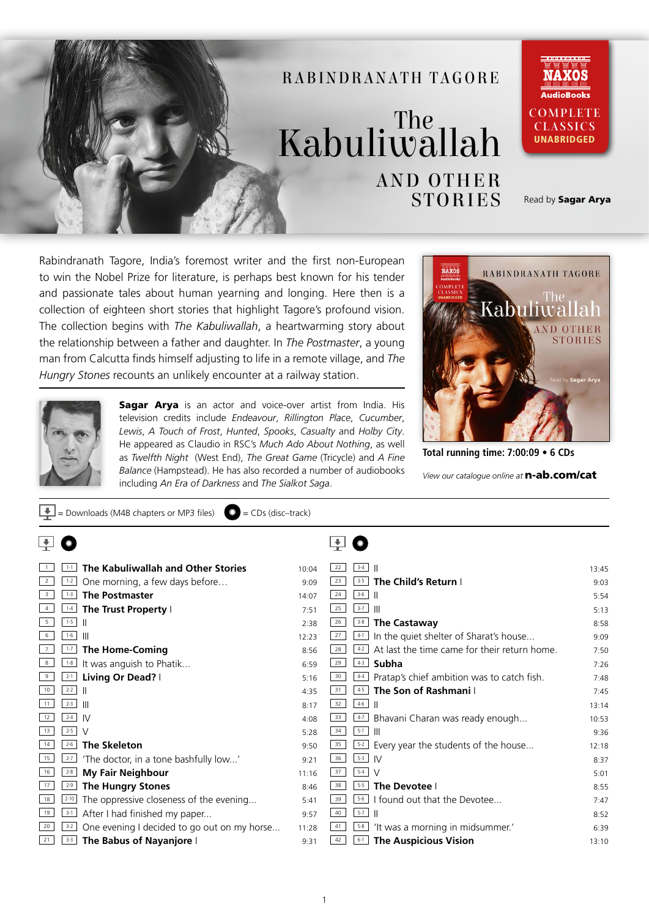

Rabindranath Tagore, India's foremost writer and the first non-European to win the Nobel Prize for literature, is perhaps best known for his tender and passionate tales about human yearning and longing. Here then is a collection of eighteen short stories that highlight Tagore's profound vision. The collection begins with *The Kabuliwallah*, a heartwarming story about the relationship between a father and daughter. In *The Postmaster*, a young man from Calcutta finds himself adjusting to life in a remote village, and *The Hungry Stones* recounts an unlikely encounter at a railway station.

 $=$  Downloads (M4B chapters or MP3 files)  $\qquad \qquad \bullet$  = CDs (disc–track)



Sagar Arya is an actor and voice-over artist from India. His television credits include *Endeavour*, *Rillington Place*, *Cucumber*, *Lewis*, *A Touch of Frost*, *Hunted*, *Spooks*, *Casualty* and *Holby City*. He appeared as Claudio in RSC's *Much Ado About Nothing*, as well as *Twelfth Night* (West End), *The Great Game* (Tricycle) and *A Fine Balance* (Hampstead). He has also recorded a number of audiobooks including *An Era of Darkness* and *The Sialkot Saga*.



**Total running time: 7:00:09 • 6 CDs**

*View our catalogue online at* n-ab.com/cat

|                         | The Kabuliwallah and Other Stories<br>$1 - 1$          | 10:04 | $3-4$<br>H<br>22                                              | 13:45 |
|-------------------------|--------------------------------------------------------|-------|---------------------------------------------------------------|-------|
| 2                       | $1 - 2$<br>One morning, a few days before              | 9:09  | The Child's Return I<br>$3 - 5$<br>23                         | 9:03  |
| $\overline{\mathbf{3}}$ | <b>The Postmaster</b><br>$1 - 3$                       | 14:07 | $3-6$<br>24<br>H                                              | 5:54  |
|                         | The Trust Property I<br>$1 - 4$                        | 7:51  | $3 - 7$<br>25<br>$\mathbb{I}$                                 | 5:13  |
| 5                       | $1 - 5$<br>H                                           | 2:38  | 26<br>$3 - 8$<br><b>The Castaway</b>                          | 8:58  |
| 6                       | $1 - 6$<br>$\mathbb{I}$                                | 12:23 | 27<br>In the quiet shelter of Sharat's house<br>$4-1$         | 9:09  |
|                         | $1 - 7$<br><b>The Home-Coming</b>                      | 8:56  | At last the time came for their return home.<br>28<br>$4 - 2$ | 7:50  |
| 8                       | It was anguish to Phatik<br>$1 - 8$                    | 6:59  | $4-3$<br>Subha<br>29                                          | 7:26  |
| 9                       | Living Or Dead?  <br>$2 - 1$                           | 5:16  | 30<br>Pratap's chief ambition was to catch fish.<br>$4-4$     | 7:48  |
| 10                      | $2 - 2$                                                | 4:35  | The Son of Rashmani I<br>31<br>$4-5$                          | 7:45  |
| 11                      | $2 - 3$<br>$\mathbb{H}$                                | 8:17  | $4-6$<br>32<br>H                                              | 13:14 |
| 12                      | $2 - 4$<br><b>IV</b>                                   | 4:08  | $4-7$<br>Bhavani Charan was ready enough<br>33                | 10:53 |
| 13                      | $2 - 5$<br>$\vee$                                      | 5:28  | $5-1$<br>34<br>-III                                           | 9:36  |
| 14                      | $2 - 6$<br><b>The Skeleton</b>                         | 9:50  | 35<br>$5 - 2$<br>Every year the students of the house         | 12:18 |
| 15                      | 'The doctor, in a tone bashfully low'<br>$2 - 7$       | 9:21  | $5-3$<br>36<br>-IV                                            | 8:37  |
| 16                      | <b>My Fair Neighbour</b><br>$2 - 8$                    | 11:16 | $5-4$<br>37<br>V                                              | 5:01  |
| 17                      | $2-9$<br><b>The Hungry Stones</b>                      | 8:46  | 38<br>$5-5$<br>The Devotee I                                  | 8:55  |
| 18                      | $2 - 10$<br>The oppressive closeness of the evening    | 5:41  | $5 - 6$<br>I found out that the Devotee<br>39                 | 7:47  |
| 19                      | After I had finished my paper<br>$3 - 1$               | 9:57  | $5-7$<br>40                                                   | 8:52  |
| 20                      | One evening I decided to go out on my horse<br>$3 - 2$ | 11:28 | 41<br>$5 - 8$<br>'It was a morning in midsummer.'             | 6:39  |
| 21                      | The Babus of Nayanjore I<br>$3 - 3$                    | 9:31  | <b>The Auspicious Vision</b><br>42<br>$6 - 1$                 | 13:10 |